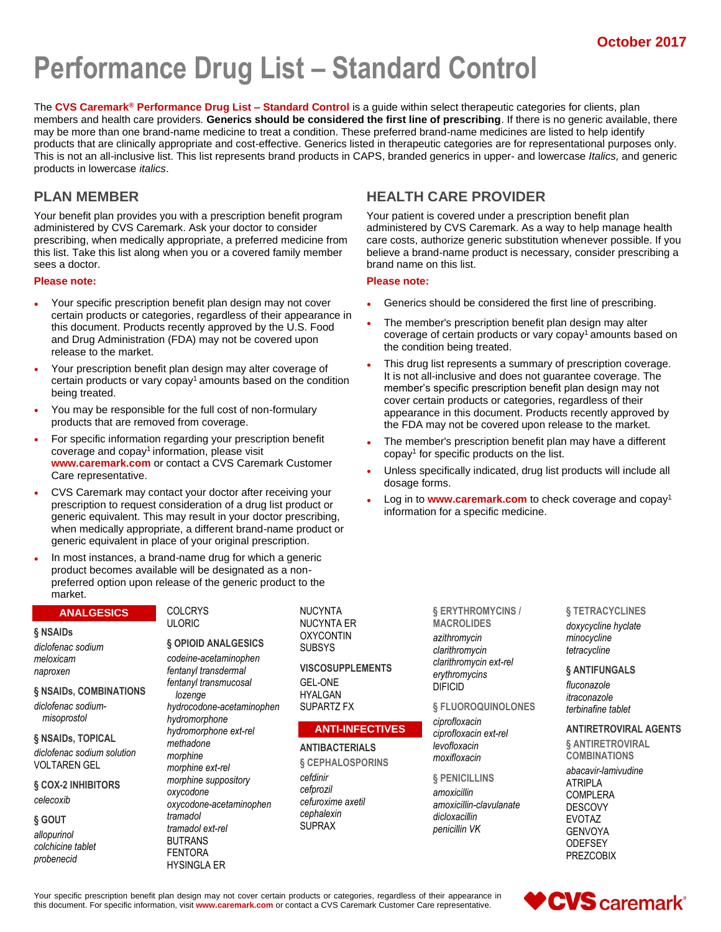# **Performance Drug List - Standard Control**

The **CVS Caremark® Performance Drug List – Standard Control** is a guide within select therapeutic categories for clients, plan members and health care providers. **Generics should be considered the first line of prescribing**. If there is no generic available, there may be more than one brand-name medicine to treat a condition. These preferred brand-name medicines are listed to help identify products that are clinically appropriate and cost-effective. Generics listed in therapeutic categories are for representational purposes only. This is not an all-inclusive list. This list represents brand products in CAPS, branded generics in upper- and lowercase *Italics,* and generic products in lowercase *italics*.

### **PLAN MEMBER**

Your benefit plan provides you with a prescription benefit program administered by CVS Caremark. Ask your doctor to consider prescribing, when medically appropriate, a preferred medicine from this list. Take this list along when you or a covered family member sees a doctor.

#### **Please note:**

- Your specific prescription benefit plan design may not cover certain products or categories, regardless of their appearance in this document. Products recently approved by the U.S. Food and Drug Administration (FDA) may not be covered upon release to the market.
- Your prescription benefit plan design may alter coverage of certain products or vary copay<sup>1</sup> amounts based on the condition being treated.
- You may be responsible for the full cost of non-formulary products that are removed from coverage.
- For specific information regarding your prescription benefit coverage and copay<sup>1</sup> information, please visit **www.caremark.com** or contact a CVS Caremark Customer Care representative.
- CVS Caremark may contact your doctor after receiving your prescription to request consideration of a drug list product or generic equivalent. This may result in your doctor prescribing, when medically appropriate, a different brand-name product or generic equivalent in place of your original prescription.
- In most instances, a brand-name drug for which a generic product becomes available will be designated as a nonpreferred option upon release of the generic product to the market.

#### **ANALGESICS**

**§ NSAIDs** *diclofenac sodium meloxicam naproxen*

**§ NSAIDs, COMBINATIONS** *diclofenac sodiummisoprostol*

**§ NSAIDs, TOPICAL** *diclofenac sodium solution* VOLTAREN GEL

**§ COX-2 INHIBITORS** *celecoxib*

#### **§ GOUT** *allopurinol*

*colchicine tablet probenecid*

COLCRYS ULORIC

#### **§ OPIOID ANALGESICS**

*codeine-acetaminophen fentanyl transdermal fentanyl transmucosal lozenge hydrocodone-acetaminophen hydromorphone hydromorphone ext-rel methadone morphine morphine ext-rel morphine suppository oxycodone oxycodone-acetaminophen tramadol tramadol ext-rel* BUTRANS FENTORA HYSINGLA ER

NUCYNTA NUCYNTA ER **OXYCONTIN SUBSYS** 

**VISCOSUPPLEMENTS** GEL-ONE HYALGAN SUPARTZ FX

### **ANTI-INFECTIVES**

**ANTIBACTERIALS**

**§ CEPHALOSPORINS** *cefdinir cefprozil cefuroxime axetil cephalexin* SUPRAX

# **HEALTH CARE PROVIDER**

Your patient is covered under a prescription benefit plan administered by CVS Caremark. As a way to help manage health care costs, authorize generic substitution whenever possible. If you believe a brand-name product is necessary, consider prescribing a brand name on this list.

#### **Please note:**

- Generics should be considered the first line of prescribing.
- The member's prescription benefit plan design may alter coverage of certain products or vary copay<sup>1</sup> amounts based on the condition being treated.
- This drug list represents a summary of prescription coverage. It is not all-inclusive and does not guarantee coverage. The member's specific prescription benefit plan design may not cover certain products or categories, regardless of their appearance in this document. Products recently approved by the FDA may not be covered upon release to the market.
- The member's prescription benefit plan may have a different copay<sup>1</sup> for specific products on the list.
- Unless specifically indicated, drug list products will include all dosage forms.
- Log in to **www.caremark.com** to check coverage and copay<sup>1</sup> information for a specific medicine.

**§ ERYTHROMYCINS / MACROLIDES**

*azithromycin clarithromycin clarithromycin ext-rel erythromycins* DIFICID

**§ FLUOROQUINOLONES**

*ciprofloxacin ciprofloxacin ext-rel levofloxacin moxifloxacin*

**§ PENICILLINS** *amoxicillin amoxicillin-clavulanate dicloxacillin penicillin VK*

**§ TETRACYCLINES** *doxycycline hyclate minocycline tetracycline*

#### **§ ANTIFUNGALS**

*fluconazole itraconazole terbinafine tablet*

**ANTIRETROVIRAL AGENTS**

**§ ANTIRETROVIRAL COMBINATIONS**

*abacavir-lamivudine* ATRIPLA COMPLERA DESCOVY EVOTAZ GENVOYA **ODEFSEY** PREZCOBIX

Your specific prescription benefit plan design may not cover certain products or categories, regardless of their appearance in this document. For specific information, visit **www.caremark.com** or contact a CVS Caremark Customer Care representative.

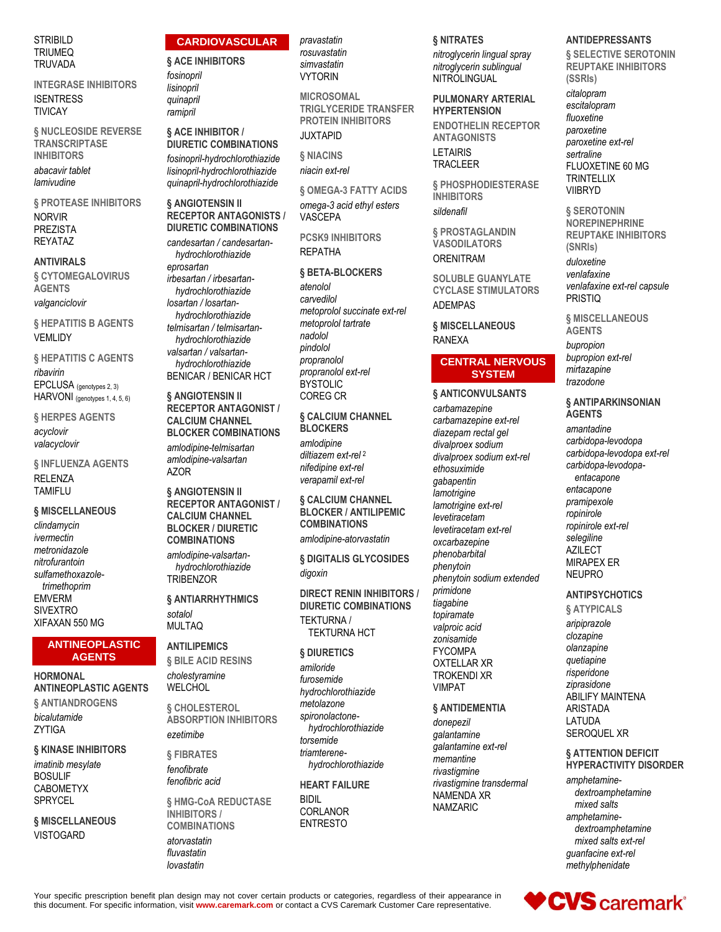#### **STRIBILD TRIUMEQ TRUVADA**

**INTEGRASE INHIBITORS ISENTRESS TIVICAY** 

§ NUCLEOSIDE REVERSE **TRANSCRIPTASE INHIBITORS** abacavir tablet lamivudine

**§ PROTEASE INHIBITORS NORVIR PREZISTA REYATAZ** 

#### **ANTIVIRALS**

**& CYTOMEGALOVIRUS AGENTS** 

valganciclovir

**§ HEPATITIS B AGENTS VEMLIDY** 

**& HEPATITIS C AGENTS** ribavirin EPCLUSA (genotypes 2, 3) HARVONI (genotypes 1, 4, 5, 6)

**& HERPES AGENTS** acyclovir valacyclovir

§ INFLUENZA AGENTS **RELENZA TAMIFLU** 

#### § MISCELLANEOUS

clindamycin ivermectin metronidazole nitrofurantoin sulfamethoxazoletrimethoprim **EMVERM SIVEXTRO** XIFAXAN 550 MG

#### **ANTINEOPLASTIC AGENTS**

### **HORMONAL ANTINEOPLASTIC AGENTS** § ANTIANDROGENS bicalutamide

**ZYTIGA** § KINASE INHIBITORS

imatinib mesylate **BOSULIF CABOMETYX** SPRYCEL

§ MISCELLANEOUS **VISTOGARD** 

#### **CARDIOVASCULAR**

**& ACE INHIBITORS** 

fosinopril lisinopril quinapril ramipril

#### § ACE INHIBITOR / **DIURETIC COMBINATIONS** fosinopril-hydrochlorothiazide

lisinopril-hydrochlorothiazide auinapril-hydrochlorothiazide

§ ANGIOTENSIN II **RECEPTOR ANTAGONISTS / DIURETIC COMBINATIONS** 

candesartan / candesartanhydrochlorothiazide eprosartan irbesartan / irbesartanhydrochlorothiazide losartan / losartanhydrochlorothiazide telmisartan / telmisartanhydrochlorothiazide valsartan / valsartanhydrochlorothiazide **BENICAR / BENICAR HCT** 

§ ANGIOTENSIN II **RECEPTOR ANTAGONIST / CALCIUM CHANNEL BLOCKER COMBINATIONS** 

amlodipine-telmisartan amlodipine-valsartan **AZOR** 

§ ANGIOTENSIN II **RECEPTOR ANTAGONIST / CALCIUM CHANNEL BLOCKER / DIURETIC COMBINATIONS** amlodipine-valsartan-

hydrochlorothiazide **TRIBENZOR** 

#### § ANTIARRHYTHMICS sotalol

#### **ANTILIPEMICS**

**MULTAQ** 

§ BILE ACID RESINS cholestyramine **WELCHOL** 

**& CHOLESTEROL ABSORPTION INHIBITORS** ezetimibe

**& FIBRATES** fenofibrate fenofibric acid

**§ HMG-CoA REDUCTASE INHIBITORS COMBINATIONS** 

atorvastatin fluvastatin lovastatin

#### pravastatin rosuvastatin

simvastatin **VYTORIN** 

**MICROSOMAL TRIGLYCERIDE TRANSFER PROTEIN INHIBITORS JUXTAPID** 

§ NIACINS niacin ext-rel

**§ OMEGA-3 FATTY ACIDS** 

omega-3 acid ethyl esters **VASCEPA** 

**PCSK9 INHIBITORS REPATHA** 

#### § BETA-BLOCKERS

atenolol carvedilol metoprolol succinate ext-rel metoprolol tartrate nadolol pindolol propranolol propranolol ext-rel **BYSTOLIC COREG CR** 

**§ CALCIUM CHANNEL BLOCKERS** amlodipine diltiazem ext-rel <sup>2</sup> nifedipine ext-rel verapamil ext-rel

**§ CALCIUM CHANNEL BLOCKER / ANTILIPEMIC COMBINATIONS** amlodipine-atorvastatin

§ DIGITALIS GLYCOSIDES digoxin

**DIRECT RENIN INHIBITORS / DIURETIC COMBINATIONS TEKTURNA / TEKTURNA HCT** 

#### **§ DIURETICS**

amiloride furosemide hydrochlorothiazide metolazone spironolactonehydrochlorothiazide torsemide triamterenehydrochlorothiazide

**HEART FAILURE BIDIL CORLANOR** 

**ENTRESTO** 

#### **§ NITRATES**

nitroglycerin lingual spray nitroglycerin sublingual NITROLINGUAL

#### **PULMONARY ARTERIAL HYPERTENSION**

**ENDOTHELIN RECEPTOR ANTAGONISTS I FTAIRIS TRACLEER** 

§ PHOSPHODIESTERASE **INHIBITORS** sildenafil

§ PROSTAGLANDIN **VASODILATORS ORENITRAM** 

**SOLUBLE GUANYLATE CYCLASE STIMULATORS ADEMPAS** 

§ MISCELLANEOUS **RANEXA** 

#### **CENTRAL NERVOUS SYSTEM**

#### § ANTICONVULSANTS

carbamazepine carbamazepine ext-rel diazepam rectal gel divalproex sodium divalproex sodium ext-rel ethosuximide qabapentin lamotrigine lamotrigine ext-rel levetiracetam levetiracetam ext-rel oxcarbazepine phenobarbital phenytoin phenytoin sodium extended primidone tiagabine topiramate valproic acid zonisamide **FYCOMPA OXTELLAR XR TROKENDI XR VIMPAT** 

#### § ANTIDEMENTIA

donepezil galantamine galantamine ext-rel memantine rivastigmine rivastigmine transdermal NAMENDA XR **NAMZARIC** 

### **ANTIDEPRESSANTS**

**§ SELECTIVE SEROTONIN REUPTAKE INHIBITORS** (SSRIs)

citalopram escitalopram fluoxetine paroxetine paroxetine ext-rel sertraline FLUOXETINE 60 MG **TRINTELLIX VIIBRYD** 

**& SEROTONIN NOREPINEPHRINE REUPTAKE INHIBITORS** (SNRIs) duloxetine venlafaxine venlafaxine ext-rel capsule **PRISTIQ** 

§ MISCELLANEOUS **AGENTS** bupropion bupropion ext-rel mirtazapine trazodone

#### § ANTIPARKINSONIAN **AGENTS**

amantadine carbidopa-levodopa carbidopa-levodopa ext-rel carbidopa-levodopaentacapone entacapone pramipexole ropinirole ropinirole ext-rel selegiline **AZILECT MIRAPEX ER NEUPRO** 

#### **ANTIPSYCHOTICS**

§ ATYPICALS aripiprazole clozapine olanzapine quetiapine risperidone ziprasidone **ABILIFY MAINTENA ARISTADA** LATUDA SEROQUEL XR

#### § ATTENTION DEFICIT HYPERACTIVITY DISORDER

amphetaminedextroamphetamine mixed salts amphetaminedextroamphetamine mixed salts ext-rel guanfacine ext-rel methylphenidate



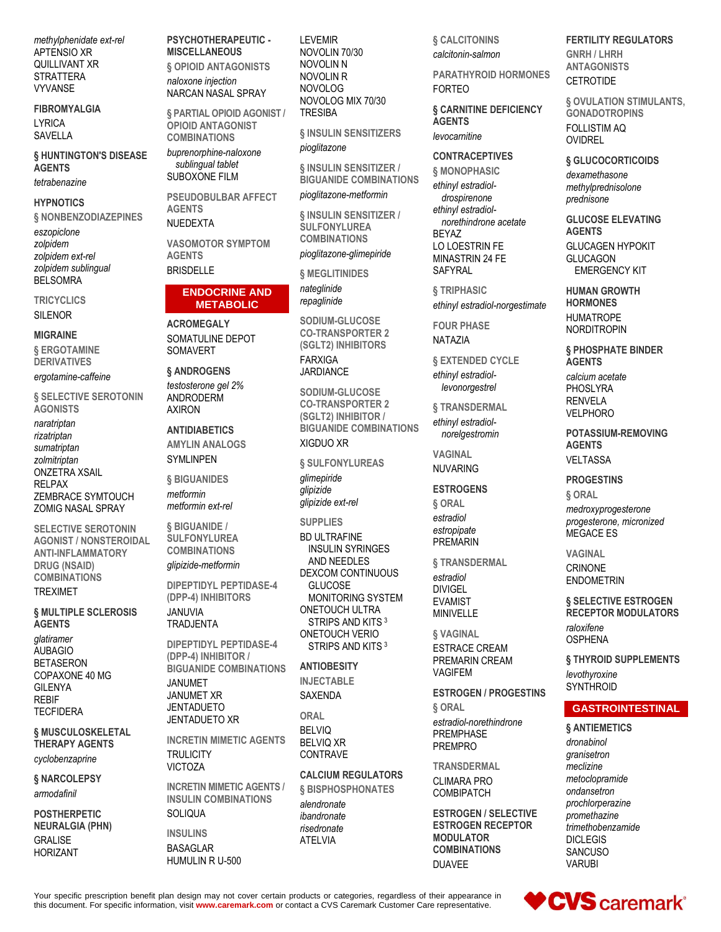methylphenidate ext-rel APTENSIO XR QUILLIVANT XR **STRATTERA VYVANSE** 

#### **FIBROMYALGIA LYRICA** SAVELLA

§ HUNTINGTON'S DISEASE **AGENTS** 

tetrabenazine

### **HYPNOTICS**

**§ NONBENZODIAZEPINES** 

eszopiclone zolpidem zolpidem ext-rel zolpidem sublingual **BELSOMRA** 

**TRICYCLICS** SIL FNOR

#### **MIGRAINE**

§ ERGOTAMINE **DERIVATIVES** 

#### ergotamine-caffeine

**§ SELECTIVE SEROTONIN AGONISTS** 

naratriptan rizatriptan sumatriptan zolmitriptan **ONZETRA XSAIL RELPAX** ZEMBRACE SYMTOUCH **ZOMIG NASAL SPRAY** 

**SELECTIVE SEROTONIN AGONIST / NONSTEROIDAL ANTI-INFLAMMATORY DRUG (NSAID) COMBINATIONS TRFXIMFT** 

**& MULTIPLE SCLEROSIS AGENTS** glatiramer **AUBAGIO BETASERON** COPAXONE 40 MG **GILENYA REBIF** 

**TECFIDERA** 

#### § MUSCULOSKELETAL THERAPY AGENTS

cyclobenzaprine

**& NARCOLEPSY** armodafinil

#### **POSTHERPETIC NEURALGIA (PHN) GRALISE**

**HORIZANT** 

PSYCHOTHERAPEUTIC -**MISCELLANEOUS § OPIOID ANTAGONISTS** naloxone injection

NARCAN NASAL SPRAY § PARTIAL OPIOID AGONIST / **OPIOID ANTAGONIST** 

**COMBINATIONS** buprenorphine-naloxone sublingual tablet SUBOXONE FILM

**PSEUDOBULBAR AFFECT AGENTS** NUEDEXTA

**VASOMOTOR SYMPTOM AGFNTS BRISDELLE** 

#### **ENDOCRINE AND METABOLIC**

**ACROMEGALY** SOMATULINE DEPOT SOMAVERT

#### § ANDROGENS

testosterone gel 2% **ANDRODERM AXIRON** 

#### **ANTIDIABETICS**

**AMYLIN ANALOGS SYMLINPEN** 

**& BIGUANIDES** metformin

metformin ext-rel § BIGUANIDE /

**SULFONYLUREA COMBINATIONS** glipizide-metformin

**DIPEPTIDYL PEPTIDASE-4** (DPP-4) INHIBITORS

#### **JANUVIA TRADJENTA**

**DIPEPTIDYL PEPTIDASE-4** (DPP-4) INHIBITOR / **BIGUANIDE COMBINATIONS JANUMET JANUMET XR JENTADUETO JENTADUETO XR** 

**INCRETIN MIMETIC AGENTS TRULICITY VICTOZA** 

**INCRETIN MIMETIC AGENTS / INSULIN COMBINATIONS** SOLIQUA

**INSULINS BASAGLAR** HUMULIN R U-500

**LEVEMIR** NOVOLIN 70/30 NOVOLIN N NOVOLIN R **NOVOLOG** NOVOLOG MIX 70/30 **TRESIBA** 

§ INSULIN SENSITIZERS pioglitazone

§ INSULIN SENSITIZER / **BIGUANIDE COMBINATIONS** 

pioglitazone-metformin

§ INSULIN SENSITIZER / **SULFONYLUREA COMBINATIONS** pioglitazone-glimepiride

§ MEGLITINIDES

nateglinide repaglinide

SODIUM-GLUCOSE **CO-TRANSPORTER 2** (SGLT2) INHIBITORS **FARXIGA** 

**JARDIANCE** 

SODIUM-GLUCOSE **CO-TRANSPORTER 2** (SGLT2) INHIBITOR / **BIGUANIDE COMBINATIONS XIGDUO XR** 

**& SULFONYLUREAS** glimepiride glipizide glipizide ext-rel

**SUPPLIES** 

**BD ULTRAFINE INSULIN SYRINGES** AND NEEDLES DEXCOM CONTINUOUS **GLUCOSE MONITORING SYSTEM ONETOUCH ULTRA** STRIPS AND KITS<sup>3</sup> **ONETOUCH VERIO** STRIPS AND KITS<sup>3</sup>

### **ANTIORESITY**

**INJECTABLE SAXENDA** 

ORAI **BELVIQ BELVIQ XR CONTRAVE** 

**CAI CIUM REGUI ATORS & BISPHOSPHONATES** alendronate

ibandronate risedronate **ATELVIA** 

§ CALCITONINS calcitonin-salmon

**PARATHYROID HORMONES FORTEO** 

§ CARNITINE DEFICIENCY **AGENTS** levocarnitine

#### **CONTRACEPTIVES**

**& MONOPHASIC** ethinyl estradioldrospirenone ethinyl estradiolnorethindrone acetate **RFYA7** LO LOESTRIN FE MINASTRIN 24 FE **SAFYRAL** 

§ TRIPHASIC ethinyl estradiol-norgestimate

**FOUR PHASE** NATAZIA

**§ EXTENDED CYCLE** ethinyl estradiollevonorgestrel

§ TRANSDERMAL ethinyl estradiolnorelgestromin

**VAGINAL NUVARING** 

#### **FSTROGENS**

**& ORAL** estradiol estropipate **PREMARIN** 

§ TRANSDERMAL estradiol **DIVIGEL EVAMIST** MINIVELLE

§ VAGINAL

**ESTRACE CREAM** PREMARIN CREAM **VAGIFFM** 

#### **ESTROGEN / PROGESTINS**

**& ORAL** estradiol-norethindrone **PREMPHASE PREMPRO** 

**TRANSDERMAL** CI IMARA PRO COMBIPATCH

**ESTROGEN / SELECTIVE ESTROGEN RECEPTOR MODULATOR COMBINATIONS DUAVEE** 

**FERTILITY REGULATORS** GNRH / I HRH **ANTAGONISTS CETROTIDE** 

§ OVULATION STIMULANTS, **GONADOTROPINS FOLLISTIM AO OVIDREL** 

§ GLUCOCORTICOIDS dexamethasone methylprednisolone prednisone

**GLUCOSE ELEVATING AGENTS GLUCAGEN HYPOKIT GLUCAGON EMERGENCY KIT** 

**HUMAN GROWTH HORMONES HUMATROPE NORDITROPIN** 

§ PHOSPHATE BINDER **AGENTS** calcium acetate

PHOSLYRA **RENVELA VELPHORO** 

POTASSIUM-REMOVING **AGENTS VELTASSA** 

**PROGESTINS** 

§ ORAL

medroxyprogesterone progesterone, micronized **MEGACE ES** 

**VAGINAL CRINONE** 

**ENDOMETRIN** 

§ SELECTIVE ESTROGEN **RECEPTOR MODULATORS** raloxifene **OSPHENA** 

§ THYROID SUPPLEMENTS levothyroxine **SYNTHROID** 

#### **GASTROINTESTINAL**

**& ANTIEMETICS** dronabinol granisetron meclizine metoclopramide ondansetron prochlorperazine promethazine trimethobenzamide **DICLEGIS SANCUSO VARUBI** 

Your specific prescription benefit plan design may not cover certain products or categories, regardless of their appearance in this document. For specific information, visit www.caremark.com or contact a CVS Caremark Customer Care representative.

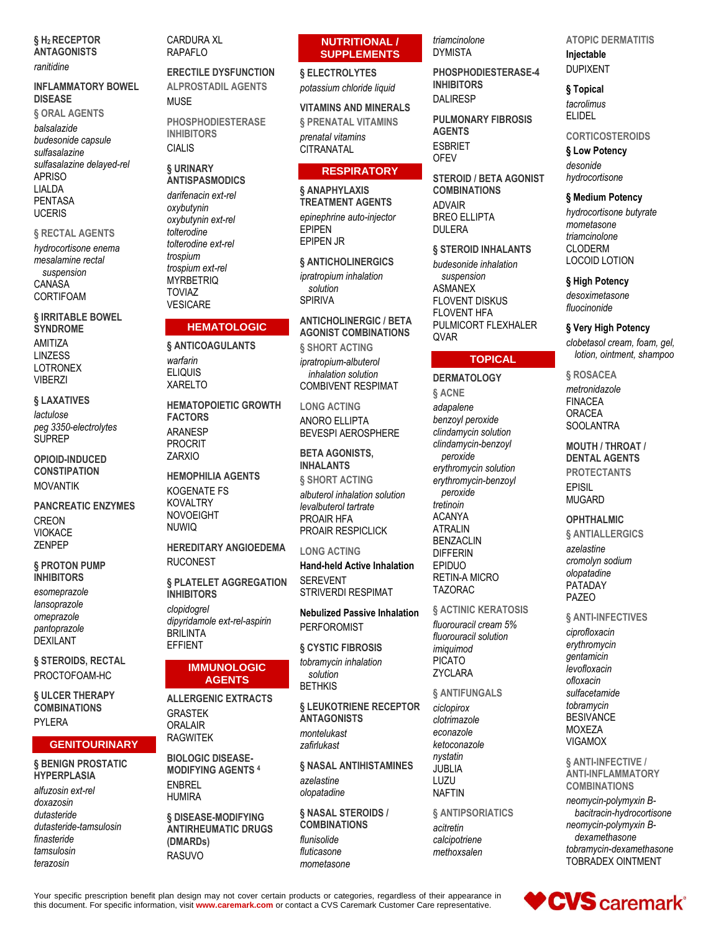#### § H<sub>2</sub> RECEPTOR **ANTAGONISTS**

#### ranitidine

#### **INFLAMMATORY BOWEL DISEASE**

§ ORAL AGENTS balsalazide budesonide capsule sulfasalazine sulfasalazine delayed-rel **APRISO** LIALDA **PENTASA UCERIS** 

#### § RECTAL AGENTS

hydrocortisone enema mesalamine rectal suspension CANASA CORTIFOAM

#### § IRRITABLE BOWEL **SYNDROME**

AMITIZA **LINZESS I OTRONEX VIBFR7I** 

#### § LAXATIVES

lactulose peg 3350-electrolytes **SUPREP** 

#### **OPIOID-INDUCED CONSTIPATION MOVANTIK**

**PANCREATIC ENZYMES CREON VIOKACE 7FNPFP** 

#### **§ PROTON PUMP INHIBITORS**

esomeprazole lansoprazole omeprazole pantoprazole **DEXILANT** 

§ STEROIDS, RECTAL PROCTOFOAM-HC

**§ ULCER THERAPY COMBINATIONS PYI FRA** 

### **GENITOURINARY**

### § BENIGN PROSTATIC **HYPERPLASIA**

alfuzosin ext-rel doxazosin dutasteride dutasteride-tamsulosin finasteride tamsulosin terazosin

#### **CARDURA XL RAPAFLO**

**ERECTILE DYSFUNCTION ALPROSTADIL AGENTS MUSE** 

**PHOSPHODIESTERASE INHIBITORS CIALIS** 

#### **& URINARY ANTISPASMODICS**

darifenacin ext-rel oxybutynin oxybutynin ext-rel tolterodine tolterodine ext-rel trospium trospium ext-rel **MYRBETRIQ TOVIAZ VESICARE** 

### **HEMATOLOGIC**

**& ANTICOAGULANTS** warfarin **ELIQUIS XARELTO** 

**HEMATOPOIFTIC GROWTH FACTORS ARANESP PROCRIT ZARXIO** 

**HEMOPHILIA AGENTS KOGENATE FS KOVALTRY NOVOEIGHT NUWIO** 

**HEREDITARY ANGIOEDEMA RUCONEST** 

§ PLATELET AGGREGATION **INHIBITORS** clopidogrel dipyridamole ext-rel-aspirin **BRILINTA EFFIENT** 

#### **IMMUNOLOGIC AGENTS**

**ALLERGENIC EXTRACTS GRASTEK** ORALAIR **RAGWITEK** 

**BIOLOGIC DISEASE-MODIFYING AGENTS 4 FNRRFI HUMIRA** 

§ DISEASE-MODIFYING **ANTIRHEUMATIC DRUGS** (DMARDs) **RASUVO** 

### **NUTRITIONAL / SUPPLEMENTS**

§ ELECTROLYTES potassium chloride liquid

**VITAMINS AND MINERALS § PRENATAL VITAMINS** prenatal vitamins

**CITRANATAL** 

### **RESPIRATORY**

**& ANAPHYLAXIS TREATMENT AGENTS** epinephrine auto-injector **EPIPEN EPIPEN JR** 

**§ ANTICHOLINERGICS** ipratropium inhalation solution **SPIRIVA** 

**ANTICHOLINERGIC / BETA AGONIST COMBINATIONS** § SHORT ACTING ipratropium-albuterol inhalation solution **COMBIVENT RESPIMAT** 

**LONG ACTING** ANORO ELLIPTA BEVESPI AEROSPHERE

**BETA AGONISTS. INHALANTS** § SHORT ACTING albuterol inhalation solution levalbuterol tartrate PROAIR HFA PROAIR RESPICLICK

#### **LONG ACTING**

**Hand-held Active Inhalation SEREVENT STRIVERDI RESPIMAT** 

**Nebulized Passive Inhalation PERFOROMIST** 

§ CYSTIC FIBROSIS tobramycin inhalation solution **BETHKIS** 

§ LEUKOTRIENE RECEPTOR **ANTAGONISTS** montelukast zafirlukast

**6 NASAL ANTIHISTAMINES** azelastine olopatadine

§ NASAL STEROIDS / **COMBINATIONS** flunisolide fluticasone mometasone

triamcinolone **DYMISTA** 

PHOSPHODIESTERASE-4 **INHIBITORS DALIRESP** 

**PULMONARY FIBROSIS AGENTS ESBRIET OFEV** 

**STEROID / RETA AGONIST COMBINATIONS ADVAIR BREO ELLIPTA DULERA** 

§ STEROID INHALANTS

budesonide inhalation suspension **ASMANEX FLOVENT DISKUS FLOVENT HFA** PULMICORT FLEXHALER **QVAR** 

### **TOPICAL**

**DERMATOLOGY & ACNE** adapalene benzoyl peroxide clindamycin solution clindamycin-benzoyl peroxide erythromycin solution erythromycin-benzoyl peroxide tretinoin **ACANYA ATRALIN BENZACLIN DIFFERIN** EPIDUO **RETIN-A MICRO TAZORAC** 

**6 ACTINIC KERATOSIS** fluorouracil cream 5% fluorouracil solution imiguimod **PICATO ZYCLARA** 

§ ANTIFUNGALS ciclopirox clotrimazole econazole ketoconazole nystatin **JUBLIA**  $|11711|$ **NAFTIN** 

§ ANTIPSORIATICS acitretin calcipotriene methoxsalen

**ATOPIC DERMATITIS** Injectable **DUPIXENT** 

§ Topical tacrolimus

**ELIDEL** 

**CORTICOSTEROIDS** § Low Potency

desonide hydrocortisone

§ Medium Potency

hydrocortisone butyrate mometasone triamcinolone **CLODERM LOCOID LOTION** 

#### § High Potency

desoximetasone fluocinonide

§ Very High Potency

clobetasol cream, foam, gel, lotion, ointment, shampoo

§ ROSACEA metronidazole **FINACEA ORACEA SOOLANTRA** 

**MOUTH / THROAT / DENTAL AGENTS PROTECTANTS EPISIL MUGARD** 

#### **OPHTHALMIC**

§ ANTIALLERGICS azelastine cromolyn sodium olopatadine PATADAY **PAZEO** 

**& ANTI-INFECTIVES** 

ciprofloxacin erythromycin *gentamicin* levofloxacin ofloxacin sulfacetamide tobramycin **BESIVANCE MOXEZA VIGAMOX** 

**& ANTI-INFECTIVE / ANTI-INFLAMMATORY COMBINATIONS** neomycin-polymyxin Bbacitracin-hydrocortisone neomycin-polymyxin Bdexamethasone tobramycin-dexamethasone **TOBRADEX OINTMENT** 



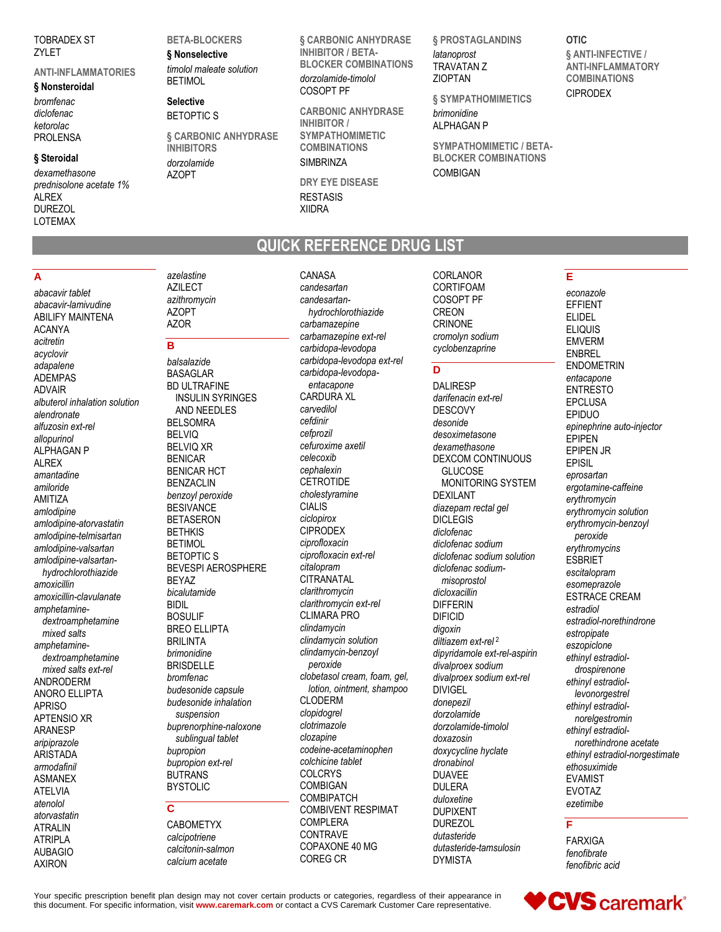TOBRADEX ST ZYLET

#### **ANTI-INFLAMMATORIES**

#### **§ Nonsteroidal**

*bromfenac diclofenac ketorolac* PROLENSA

#### **§ Steroidal**

*dexamethasone prednisolone acetate 1%* ALREX **DUREZOL** LOTEMAX

#### **BETA-BLOCKERS § Nonselective**

*timolol maleate solution* **BETIMOL** 

**Selective** BETOPTIC S

**§ CARBONIC ANHYDRASE INHIBITORS**

*dorzolamide* AZOPT

**§ CARBONIC ANHYDRASE INHIBITOR / BETA-BLOCKER COMBINATIONS** *dorzolamide-timolol* COSOPT PF

**CARBONIC ANHYDRASE INHIBITOR / SYMPATHOMIMETIC COMBINATIONS SIMBRINZA** 

**DRY EYE DISEASE** RESTASIS XIIDRA

CANASA

**§ PROSTAGLANDINS** *latanoprost* TRAVATAN Z ZIOPTAN

**§ SYMPATHOMIMETICS** *brimonidine* ALPHAGAN P

**SYMPATHOMIMETIC / BETA-BLOCKER COMBINATIONS** COMBIGAN

### **OTIC**

**§ ANTI-INFECTIVE / ANTI-INFLAMMATORY COMBINATIONS** CIPRODEX

## **QUICK REFERENCE DRUG LIST**

**A**

*abacavir tablet abacavir-lamivudine* ABILIFY MAINTENA

*albuterol inhalation solution*

*amlodipine-atorvastatin amlodipine-telmisartan amlodipine-valsartan amlodipine-valsartanhydrochlorothiazide*

*amoxicillin-clavulanate amphetaminedextroamphetamine mixed salts amphetaminedextroamphetamine mixed salts ext-rel* ANDRODERM ANORO ELLIPTA APRISO APTENSIO XR ARANESP *aripiprazole* ARISTADA *armodafinil* ASMANEX ATELVIA *atenolol atorvastatin* ATRALIN ATRIPLA AUBAGIO AXIRON

ACANYA *acitretin acyclovir adapalene* ADEMPAS ADVAIR

*alendronate alfuzosin ext-rel allopurinol* ALPHAGAN P **ALREX** *amantadine amiloride* AMITIZA *amlodipine*

*amoxicillin*

*azelastine* AZILECT *azithromycin* AZOPT

#### **B**

AZOR

*balsalazide* BASAGLAR BD ULTRAFINE INSULIN SYRINGES AND NEEDLES BELSOMRA BELVIQ BELVIQ XR BENICAR BENICAR HCT BENZACLIN *benzoyl peroxide* **BESIVANCE** BETASERON **BETHKIS** BETIMOL BETOPTIC S BEVESPI AEROSPHERE BEYAZ *bicalutamide* BIDIL BOSULIF BREO ELLIPTA BRILINTA *brimonidine* BRISDELLE *bromfenac budesonide capsule budesonide inhalation suspension buprenorphine-naloxone sublingual tablet bupropion bupropion ext-rel* BUTRANS **BYSTOLIC** 

### **C**

CABOMETYX *calcipotriene calcitonin-salmon calcium acetate*

*candesartan candesartanhydrochlorothiazide carbamazepine carbamazepine ext-rel carbidopa-levodopa carbidopa-levodopa ext-rel carbidopa-levodopaentacapone* CARDURA XL *carvedilol cefdinir cefprozil cefuroxime axetil celecoxib cephalexin* **CETROTIDE** *cholestyramine* CIALIS *ciclopirox* CIPRODEX *ciprofloxacin ciprofloxacin ext-rel citalopram* **CITRANATAL** *clarithromycin clarithromycin ext-rel* CLIMARA PRO *clindamycin clindamycin solution clindamycin-benzoyl peroxide clobetasol cream, foam, gel, lotion, ointment, shampoo* CLODERM *clopidogrel clotrimazole clozapine codeine-acetaminophen colchicine tablet* COLCRYS COMBIGAN COMBIPATCH COMBIVENT RESPIMAT COMPLERA CONTRAVE COPAXONE 40 MG COREG CR

CORLANOR CORTIFOAM COSOPT PF CREON CRINONE *cromolyn sodium cyclobenzaprine*

### **D**

DALIRESP *darifenacin ext-rel* DESCOVY *desonide desoximetasone dexamethasone* DEXCOM CONTINUOUS GLUCOSE MONITORING SYSTEM DEXILANT *diazepam rectal gel* DICLEGIS *diclofenac diclofenac sodium diclofenac sodium solution diclofenac sodiummisoprostol dicloxacillin* DIFFERIN DIFICID *digoxin diltiazem ext-rel* <sup>2</sup> *dipyridamole ext-rel-aspirin divalproex sodium divalproex sodium ext-rel* DIVIGEL *donepezil dorzolamide dorzolamide-timolol doxazosin doxycycline hyclate dronabinol* DUAVEE **DULFRA** *duloxetine* DUPIXENT DUREZOL *dutasteride dutasteride-tamsulosin* DYMISTA

### **E**

*econazole* EFFIENT ELIDEL ELIQUIS EMVERM ENBREL ENDOMETRIN *entacapone* ENTRESTO EPCLUSA EPIDUO *epinephrine auto-injector* EPIPEN EPIPEN JR EPISIL *eprosartan ergotamine-caffeine erythromycin erythromycin solution erythromycin-benzoyl peroxide erythromycins* **ESBRIET** *escitalopram esomeprazole* ESTRACE CREAM *estradiol estradiol-norethindrone estropipate eszopiclone ethinyl estradioldrospirenone ethinyl estradiollevonorgestrel ethinyl estradiolnorelgestromin ethinyl estradiolnorethindrone acetate ethinyl estradiol-norgestimate ethosuximide* EVAMIST EVOTAZ *ezetimibe*

#### **F**

FARXIGA *fenofibrate fenofibric acid*

Your specific prescription benefit plan design may not cover certain products or categories, regardless of their appearance in this document. For specific information, visit **www.caremark.com** or contact a CVS Caremark Customer Care representative.

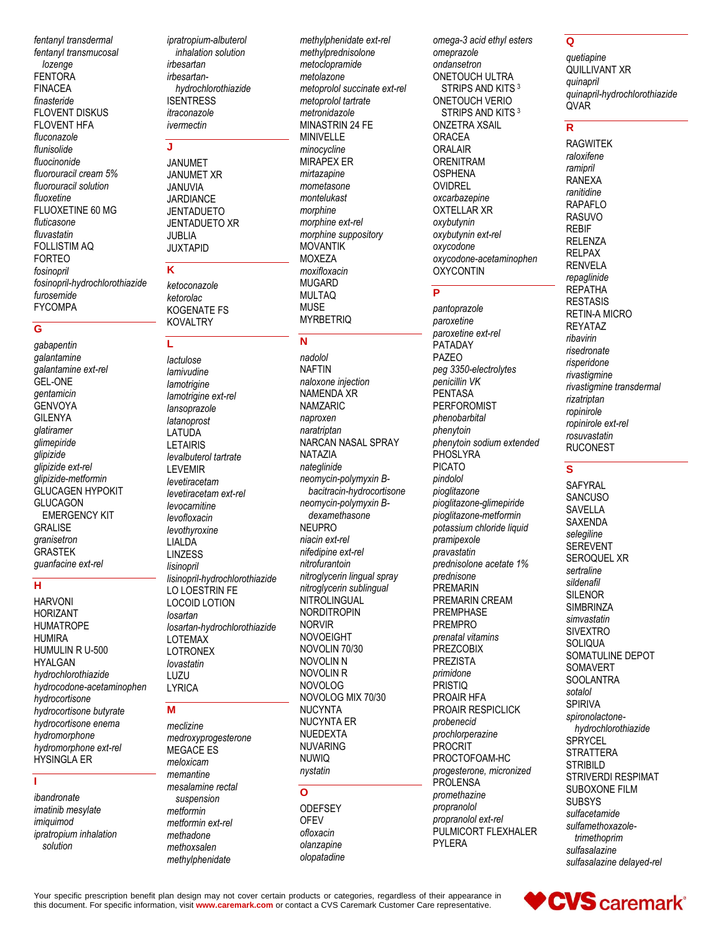fentanyl transdermal fentanyl transmucosal lozenge **FENTORA FINACEA** finasteride FI OVENT DISKUS **FLOVENT HFA** fluconazole flunisolide fluocinonide fluorouracil cream 5% fluorouracil solution fluoxetine FLUOXETINE 60 MG fluticasone fluvastatin **FOLLISTIM AQ FORTEO** fosinopril fosinopril-hydrochlorothiazide furosemide **FYCOMPA** 

#### Ġ

gabapentin galantamine galantamine ext-rel **GEL-ONE** gentamicin **GENVOYA GILENYA** glatiramer glimepiride glipizide glipizide ext-rel glipizide-metformin GLUCAGEN HYPOKIT **GLUCAGON EMERGENCY KIT GRALISE** granisetron **GRASTEK** guanfacine ext-rel

### $H$

**HARVONI HORIZANT HUMATROPE HUMIRA** HUMULIN R U-500 **HYALGAN** hydrochlorothiazide hydrocodone-acetaminophen hydrocortisone hydrocortisone butyrate hydrocortisone enema hydromorphone hydromorphone ext-rel **HYSINGLA ER** 

### T.

ibandronate imatinib mesylate imiguimod ipratropium inhalation solution

ipratropium-albuterol inhalation solution irbesartan irbesartanhydrochlorothiazide **ISENTRESS** itraconazole ivermectin

#### Ü,

**JANUMET JANUMET XR** JANUVIA **JARDIANCE JENTADUETO JENTADUETO XR JUBLIA JUXTAPID** 

### K

ketoconazole ketorolac KOGENATE FS **KOVALTRY** 

### Ĺ

lactulose lamivudine lamotrigine lamotrigine ext-rel lansoprazole latanoprost LATUDA **LETAIRIS** levalbuterol tartrate **LEVEMIR** levetiracetam levetiracetam ext-rel levocarnitine levofloxacin levothyroxine LIALDA **I INZESS** lisinopril lisinopril-hydrochlorothiazide LO LOESTRIN FE **LOCOID LOTION** losartan losartan-hydrochlorothiazide **LOTEMAX LOTRONEX** lovastatin LUZU **LYRICA** 

#### M

meclizine medroxyprogesterone MEGACE ES meloxicam memantine mesalamine rectal suspension metformin metformin ext-rel methadone methoxsalen methylphenidate

methylphenidate ext-rel methylprednisolone metoclopramide metolazone metoprolol succinate ext-rel metoprolol tartrate metronidazole **MINASTRIN 24 FE** MINIVELLE minocycline **MIRAPEX ER** mirtazapine mometasone montelukast morphine morphine ext-rel morphine suppository **MOVANTIK MOXEZA** moxifloxacin **MUGARD MULTAQ MUSE MYRBETRIO** 

#### N

nadolol **NAFTIN** naloxone injection NAMENDA XR **NAMZARIC** naproxen naratriptan NARCAN NASAL SPRAY **NATAZIA** nateglinide neomycin-polymyxin Bbacitracin-hydrocortisone neomycin-polymyxin Bdexamethasone **NEUPRO** niacin ext-rel nifedipine ext-rel nitrofurantoin nitroglycerin lingual spray nitroglycerin sublingual NITROLINGUAL **NORDITROPIN NORVIR NOVOEIGHT** NOVOLIN 70/30 NOVOLIN N NOVOLIN R **NOVOLOG** NOVOLOG MIX 70/30 **NUCYNTA NUCYNTA ER NUEDEXTA NUVARING NUWIQ** nystatin  $\mathbf{o}$ 

#### **ODEFSEY OFEV** ofloxacin olanzapine

olopatadine

omega-3 acid ethyl esters omeprazole ondansetron ONETOUCH ULTRA STRIPS AND KITS<sup>3</sup> **ONETOUCH VERIO** STRIPS AND KITS<sup>3</sup> **ONZETRA XSAIL ORACEA ORALAIR ORENITRAM OSPHENA OVIDREL** oxcarbazepine **OXTELLAR XR** oxybutynin oxybutynin ext-rel oxycodone oxycodone-acetaminophen **OXYCONTIN** 

### P

pantoprazole paroxetine paroxetine ext-rel PATADAY PAZEO peg 3350-electrolytes penicillin VK **PENTASA** PERFOROMIST phenobarbital phenytoin phenytoin sodium extended PHOSLYRA **PICATO** pindolol pioglitazone pioglitazone-glimepiride pioglitazone-metformin potassium chloride liquid pramipexole pravastatin prednisolone acetate 1% prednisone PREMARIN PREMARIN CREAM **PREMPHASE PREMPRO** prenatal vitamins **PREZCOBIX PREZISTA** primidone PRISTIQ PROAIR HFA PROAIR RESPICLICK probenecid prochlorperazine PROCRIT PROCTOFOAM-HC progesterone, micronized **PROLENSA** promethazine propranolol propranolol ext-rel PULMICORT FLEXHALER **PYLERA** 

#### $\overline{Q}$

quetiapine QUILLIVANT XR quinapril quinapril-hydrochlorothiazide **OVAR** 

### $\mathbf R$

**RAGWITEK** raloxifene ramipril **RANEXA** ranitidine **RAPAFLO RASUVO REBIF RELENZA RELPAX RENVELA** repaglinide **REPATHA RESTASIS RETIN-A MICRO REYATAZ** ribavirin risedronate risperidone rivastigmine rivastigmine transdermal rizatriptan ropinirole ropinirole ext-rel rosuvastatin **RUCONEST** 

### S

SAFYRAL **SANCUSO SAVELLA SAXENDA** selegiline **SEREVENT** SEROQUEL XR sertraline sildenafil **SILENOR SIMBRINZA** simvastatin **SIVEXTRO SOLIQUA** SOMATULINE DEPOT SOMAVERT **SOOLANTRA** sotalol **SPIRIVA** spironolactonehydrochlorothiazide **SPRYCEL STRATTERA STRIBILD STRIVERDI RESPIMAT** SUBOXONE FILM **SUBSYS** sulfacetamide sulfamethoxazoletrimethoprim sulfasalazine sulfasalazine delayed-rel

Your specific prescription benefit plan design may not cover certain products or categories, regardless of their appearance in this document. For specific information, visit www.caremark.com or contact a CVS Caremark Customer Care representative.

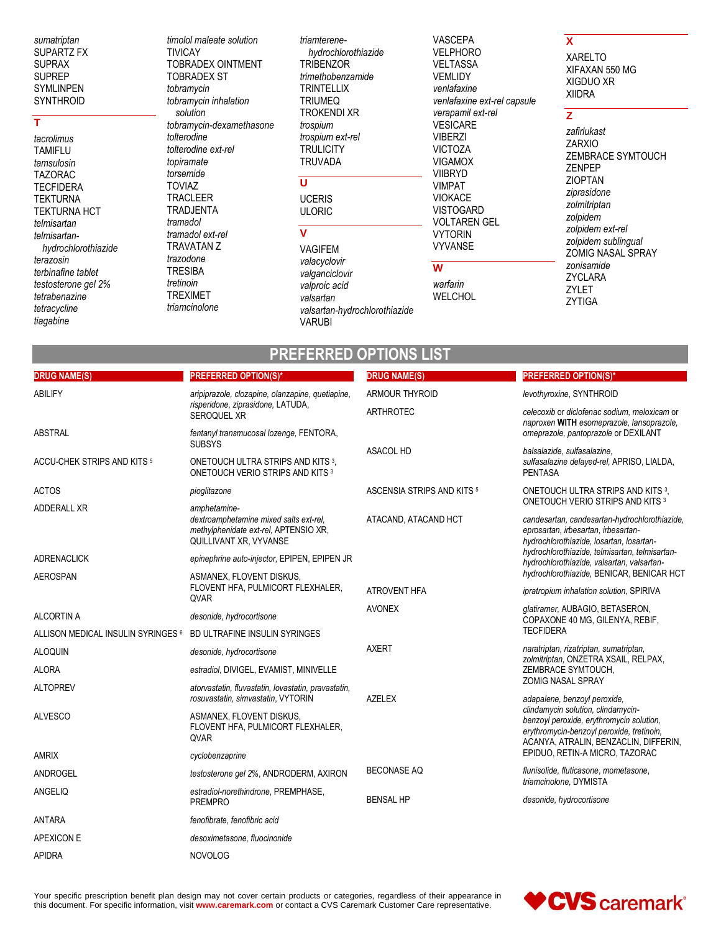sumatriptan SUPARTZ FX **SUPRAX SUPREP** SYMLINPEN **SYNTHROID** 

### T

tacrolimus **TAMIFLU** tamsulosin **TAZORAC TECFIDERA TEKTURNA TEKTURNA HCT** telmisartan telmisartanhydrochlorothiazide terazosin terbinafine tablet testosterone gel 2% tetrabenazine tetracycline tiagabine

**DRUG NAME(S)** 

timolol maleate solution **TIVICAY** TOBRADEX OINTMENT **TOBRADEX ST** tobramycin tobramycin inhalation solution tobramvcin-dexamethasone tolterodine tolterodine ext-rel topiramate torsemide **TOVIAZ TRACLEER** TRADJENTA tramadol tramadol ext-rel TRAVATAN Z trazodone **TRESIBA** tretinoin **TREXIMET** triamcinolone

**PREFERRED OPTION(S)\*** 

triamterenehydrochlorothiazide **TRIBENZOR** trimethobenzamide **TRINTELLIX TRIUMEO TROKENDI XR** trospium trospium ext-rel **TRULICITY TRUVADA** 

### $\overline{\mathtt{U}}$

**UCERIS ULORIC** 

#### $\mathbf{V}$

**VAGIFEM** valacyclovir valganciclovir valproic acid valsartan valsartan-hydrochlorothiazide **VARUBI** 

PREFERRED OPTIONS LIST

**DRUG NAME(S)** 

VASCEPA **VELPHORO VELTASSA VEMLIDY** venlafaxine venlafaxine ext-rel capsule verapamil ext-rel **VESICARE VIBERZI VICTOZA VIGAMOX VIIBRYD VIMPAT VIOKACE VISTOGARD VOLTAREN GEL VYTORIN VYVANSE** 

#### $\overline{\mathbf{w}}$

warfarin WELCHOL

### $\mathbf{x}$

**XARELTO** XIFAXAN 550 MG XIGDUO XR **XIIDRA** 

#### $\mathbf{Z}$

**PREFERRED OPTION(S)** 

zafirlukast **ZARXIO** ZEMBRACE SYMTOUCH ZENPEP **ZIOPTAN** ziprasidone zolmitriptan zolpidem zolpidem ext-rel zolpidem sublingual ZOMIG NASAL SPRAY zonisamide ZYCLARA ZYLET **ZYTIGA** 

| <b>ABILIFY</b>                     | aripiprazole, clozapine, olanzapine, quetiapine,                                                                          | <b>ARMOUR THYROID</b>      | levothyroxine, SYNTHROID                                                                                                                                                        |
|------------------------------------|---------------------------------------------------------------------------------------------------------------------------|----------------------------|---------------------------------------------------------------------------------------------------------------------------------------------------------------------------------|
|                                    | risperidone, ziprasidone, LATUDA,<br><b>SEROQUEL XR</b>                                                                   | <b>ARTHROTEC</b>           | celecoxib or diclofenac sodium, meloxicam or<br>naproxen WITH esomeprazole, lansoprazole,                                                                                       |
| <b>ABSTRAL</b>                     | fentanyl transmucosal lozenge, FENTORA,<br><b>SUBSYS</b>                                                                  |                            | omeprazole, pantoprazole or DEXILANT                                                                                                                                            |
| ACCU-CHEK STRIPS AND KITS 5        | ONETOUCH ULTRA STRIPS AND KITS <sup>3</sup> .<br>ONETOUCH VERIO STRIPS AND KITS <sup>3</sup>                              | <b>ASACOL HD</b>           | balsalazide, sulfasalazine,<br>sulfasalazine delayed-rel, APRISO, LIALDA,<br><b>PENTASA</b>                                                                                     |
| <b>ACTOS</b>                       | pioglitazone                                                                                                              | ASCENSIA STRIPS AND KITS 5 | ONETOUCH ULTRA STRIPS AND KITS 3.                                                                                                                                               |
| <b>ADDERALL XR</b>                 | amphetamine-<br>dextroamphetamine mixed salts ext-rel.<br>methylphenidate ext-rel, APTENSIO XR,<br>QUILLIVANT XR, VYVANSE | ATACAND, ATACAND HCT       | ONETOUCH VERIO STRIPS AND KITS <sup>3</sup><br>candesartan, candesartan-hydrochlorothiazide,<br>eprosartan, irbesartan, irbesartan-<br>hydrochlorothiazide, losartan, losartan- |
| <b>ADRENACLICK</b>                 | epinephrine auto-injector, EPIPEN, EPIPEN JR                                                                              |                            | hydrochlorothiazide, telmisartan, telmisartan-<br>hydrochlorothiazide, valsartan, valsartan-                                                                                    |
| <b>AEROSPAN</b>                    | ASMANEX, FLOVENT DISKUS,<br>FLOVENT HFA, PULMICORT FLEXHALER,<br>QVAR                                                     | <b>ATROVENT HFA</b>        | hydrochlorothiazide, BENICAR, BENICAR HCT<br>ipratropium inhalation solution, SPIRIVA                                                                                           |
| <b>ALCORTIN A</b>                  | desonide, hydrocortisone                                                                                                  | <b>AVONEX</b>              | glatiramer, AUBAGIO, BETASERON,                                                                                                                                                 |
| ALLISON MEDICAL INSULIN SYRINGES 6 | BD ULTRAFINE INSULIN SYRINGES                                                                                             |                            | COPAXONE 40 MG, GILENYA, REBIF,<br><b>TECFIDERA</b>                                                                                                                             |
| <b>ALOQUIN</b>                     | desonide, hydrocortisone                                                                                                  | <b>AXERT</b>               | naratriptan, rizatriptan, sumatriptan,                                                                                                                                          |
| <b>ALORA</b>                       | estradiol, DIVIGEL, EVAMIST, MINIVELLE                                                                                    |                            | zolmitriptan, ONZETRA XSAIL, RELPAX,<br>ZEMBRACE SYMTOUCH,                                                                                                                      |
| <b>ALTOPREV</b>                    | atorvastatin, fluvastatin, lovastatin, pravastatin,<br>rosuvastatin, simvastatin, VYTORIN                                 | <b>AZELEX</b>              | <b>ZOMIG NASAL SPRAY</b><br>adapalene, benzoyl peroxide,                                                                                                                        |
| <b>ALVESCO</b>                     | ASMANEX, FLOVENT DISKUS,<br>FLOVENT HFA, PULMICORT FLEXHALER,<br>QVAR                                                     |                            | clindamycin solution, clindamycin-<br>benzoyl peroxide, erythromycin solution,<br>erythromycin-benzoyl peroxide, tretinoin,<br>ACANYA, ATRALIN, BENZACLIN, DIFFERIN,            |
| <b>AMRIX</b>                       | cyclobenzaprine                                                                                                           |                            | EPIDUO, RETIN-A MICRO, TAZORAC                                                                                                                                                  |
| ANDROGEL                           | testosterone gel 2%, ANDRODERM, AXIRON                                                                                    | <b>BECONASE AQ</b>         | flunisolide, fluticasone, mometasone,<br>triamcinolone, DYMISTA                                                                                                                 |
| ANGELIQ                            | estradiol-norethindrone, PREMPHASE,<br><b>PREMPRO</b>                                                                     | <b>BENSAL HP</b>           | desonide, hydrocortisone                                                                                                                                                        |
| <b>ANTARA</b>                      | fenofibrate, fenofibric acid                                                                                              |                            |                                                                                                                                                                                 |
| APEXICON E                         | desoximetasone, fluocinonide                                                                                              |                            |                                                                                                                                                                                 |
| <b>APIDRA</b>                      | <b>NOVOLOG</b>                                                                                                            |                            |                                                                                                                                                                                 |
|                                    |                                                                                                                           |                            |                                                                                                                                                                                 |

Your specific prescription benefit plan design may not cover certain products or categories, regardless of their appearance in this document. For specific information, visit www.caremark.com or contact a CVS Caremark Customer Care representative.

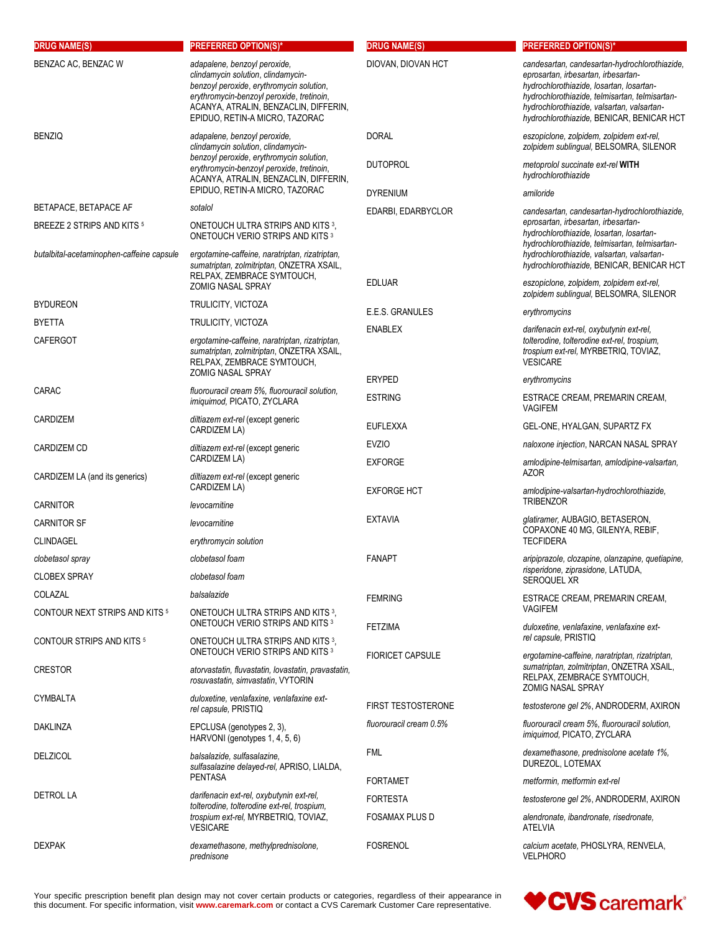| <b>DRUG NAME(S)</b>                                 | <b>PREFERRED OPTION(S)*</b>                                                                                                                                                                                                            | <b>DRUG NAME(S)</b>       | <b>PREFERRED OPTION(S)*</b>                                                                                                                                                                                                                                                   |
|-----------------------------------------------------|----------------------------------------------------------------------------------------------------------------------------------------------------------------------------------------------------------------------------------------|---------------------------|-------------------------------------------------------------------------------------------------------------------------------------------------------------------------------------------------------------------------------------------------------------------------------|
| BENZAC AC, BENZAC W                                 | adapalene, benzoyl peroxide,<br>clindamycin solution, clindamycin-<br>benzoyl peroxide, erythromycin solution,<br>erythromycin-benzoyl peroxide, tretinoin,<br>ACANYA, ATRALIN, BENZACLIN, DIFFERIN,<br>EPIDUO, RETIN-A MICRO, TAZORAC | DIOVAN, DIOVAN HCT        | candesartan, candesartan-hydrochlorothiazide,<br>eprosartan, irbesartan, irbesartan-<br>hydrochlorothiazide, losartan, losartan-<br>hydrochlorothiazide, telmisartan, telmisartan-<br>hydrochlorothiazide, valsartan, valsartan-<br>hydrochlorothiazide, BENICAR, BENICAR HCT |
| <b>BENZIQ</b>                                       | adapalene, benzoyl peroxide,<br>clindamycin solution, clindamycin-                                                                                                                                                                     | <b>DORAL</b>              | eszopiclone, zolpidem, zolpidem ext-rel,<br>zolpidem sublingual, BELSOMRA, SILENOR                                                                                                                                                                                            |
|                                                     | benzoyl peroxide, erythromycin solution,<br>erythromycin-benzoyl peroxide, tretinoin,<br>ACANYA, ATRALIN, BENZACLIN, DIFFERIN,                                                                                                         | <b>DUTOPROL</b>           | metoprolol succinate ext-rel WITH<br>hydrochlorothiazide                                                                                                                                                                                                                      |
|                                                     | EPIDUO, RETIN-A MICRO, TAZORAC                                                                                                                                                                                                         | <b>DYRENIUM</b>           | amiloride                                                                                                                                                                                                                                                                     |
| BETAPACE, BETAPACE AF<br>BREEZE 2 STRIPS AND KITS 5 | sotalol<br>ONETOUCH ULTRA STRIPS AND KITS 3,<br>ONETOUCH VERIO STRIPS AND KITS 3                                                                                                                                                       | EDARBI, EDARBYCLOR        | candesartan, candesartan-hydrochlorothiazide,<br>eprosartan, irbesartan, irbesartan-<br>hydrochlorothiazide, losartan, losartan-<br>hydrochlorothiazide, telmisartan, telmisartan-<br>hydrochlorothiazide, valsartan, valsartan-                                              |
| butalbital-acetaminophen-caffeine capsule           | ergotamine-caffeine, naratriptan, rizatriptan,<br>sumatriptan, zolmitriptan, ONZETRA XSAIL,<br>RELPAX. ZEMBRACE SYMTOUCH.<br><b>ZOMIG NASAL SPRAY</b>                                                                                  | <b>EDLUAR</b>             | hydrochlorothiazide, BENICAR, BENICAR HCT<br>eszopiclone, zolpidem, zolpidem ext-rel,                                                                                                                                                                                         |
| <b>BYDUREON</b>                                     | TRULICITY, VICTOZA                                                                                                                                                                                                                     |                           | zolpidem sublingual, BELSOMRA, SILENOR                                                                                                                                                                                                                                        |
| <b>BYETTA</b>                                       | TRULICITY, VICTOZA                                                                                                                                                                                                                     | E.E.S. GRANULES           | erythromycins                                                                                                                                                                                                                                                                 |
| <b>CAFERGOT</b>                                     | ergotamine-caffeine, naratriptan, rizatriptan,<br>sumatriptan, zolmitriptan, ONZETRA XSAIL,<br>RELPAX, ZEMBRACE SYMTOUCH,<br>ZOMIG NASAL SPRAY                                                                                         | <b>ENABLEX</b>            | darifenacin ext-rel, oxybutynin ext-rel,<br>tolterodine, tolterodine ext-rel, trospium,<br>trospium ext-rel, MYRBETRIQ, TOVIAZ,<br><b>VESICARE</b>                                                                                                                            |
|                                                     |                                                                                                                                                                                                                                        | <b>ERYPED</b>             | erythromycins                                                                                                                                                                                                                                                                 |
| CARAC                                               | fluorouracil cream 5%, fluorouracil solution,<br>imiguimod, PICATO, ZYCLARA                                                                                                                                                            | <b>ESTRING</b>            | ESTRACE CREAM, PREMARIN CREAM,<br><b>VAGIFEM</b>                                                                                                                                                                                                                              |
| <b>CARDIZEM</b>                                     | diltiazem ext-rel (except generic<br>CARDIZEM LA)                                                                                                                                                                                      | <b>EUFLEXXA</b>           | GEL-ONE, HYALGAN, SUPARTZ FX                                                                                                                                                                                                                                                  |
| <b>CARDIZEM CD</b>                                  | diltiazem ext-rel (except generic                                                                                                                                                                                                      | <b>EVZIO</b>              | naloxone injection, NARCAN NASAL SPRAY                                                                                                                                                                                                                                        |
|                                                     | CARDIZEM LA)                                                                                                                                                                                                                           | <b>EXFORGE</b>            | amlodipine-telmisartan, amlodipine-valsartan,                                                                                                                                                                                                                                 |
| CARDIZEM LA (and its generics)                      | diltiazem ext-rel (except generic<br>CARDIZEM LA)                                                                                                                                                                                      | <b>EXFORGE HCT</b>        | AZOR<br>amlodipine-valsartan-hydrochlorothiazide,                                                                                                                                                                                                                             |
| <b>CARNITOR</b>                                     | levocarnitine                                                                                                                                                                                                                          |                           | <b>TRIBENZOR</b>                                                                                                                                                                                                                                                              |
| <b>CARNITOR SF</b>                                  | levocarnitine                                                                                                                                                                                                                          | <b>EXTAVIA</b>            | glatiramer, AUBAGIO, BETASERON,<br>COPAXONE 40 MG, GILENYA, REBIF,                                                                                                                                                                                                            |
| <b>CLINDAGEL</b>                                    | erythromycin solution                                                                                                                                                                                                                  |                           | <b>TECFIDERA</b>                                                                                                                                                                                                                                                              |
| clobetasol spray                                    | clobetasol foam                                                                                                                                                                                                                        | <b>FANAPT</b>             | aripiprazole, clozapine, olanzapine, quetiapine,<br>risperidone, ziprasidone, LATUDA,                                                                                                                                                                                         |
| <b>CLOBEX SPRAY</b>                                 | clobetasol foam                                                                                                                                                                                                                        |                           | SEROQUEL XR                                                                                                                                                                                                                                                                   |
| COLAZAL                                             | balsalazide                                                                                                                                                                                                                            | <b>FEMRING</b>            | ESTRACE CREAM, PREMARIN CREAM,<br>VAGIFEM                                                                                                                                                                                                                                     |
| CONTOUR NEXT STRIPS AND KITS 5                      | ONETOUCH ULTRA STRIPS AND KITS <sup>3</sup> .<br>ONETOUCH VERIO STRIPS AND KITS 3                                                                                                                                                      | <b>FETZIMA</b>            | duloxetine, venlafaxine, venlafaxine ext-<br>rel capsule, PRISTIQ                                                                                                                                                                                                             |
| <b>CONTOUR STRIPS AND KITS 5</b>                    | ONETOUCH ULTRA STRIPS AND KITS 3.<br>ONETOUCH VERIO STRIPS AND KITS 3                                                                                                                                                                  | <b>FIORICET CAPSULE</b>   | ergotamine-caffeine, naratriptan, rizatriptan,                                                                                                                                                                                                                                |
| <b>CRESTOR</b>                                      | atorvastatin, fluvastatin, lovastatin, pravastatin,<br>rosuvastatin, simvastatin, VYTORIN                                                                                                                                              |                           | sumatriptan, zolmitriptan, ONZETRA XSAIL,<br>RELPAX, ZEMBRACE SYMTOUCH,<br><b>ZOMIG NASAL SPRAY</b>                                                                                                                                                                           |
| CYMBALTA                                            | duloxetine, venlafaxine, venlafaxine ext-<br>rel capsule, PRISTIQ                                                                                                                                                                      | <b>FIRST TESTOSTERONE</b> | testosterone gel 2%, ANDRODERM, AXIRON                                                                                                                                                                                                                                        |
| DAKLINZA                                            | EPCLUSA (genotypes 2, 3),<br>HARVONI (genotypes 1, 4, 5, 6)                                                                                                                                                                            | fluorouracil cream 0.5%   | fluorouracil cream 5%, fluorouracil solution,<br>imiquimod, PICATO, ZYCLARA                                                                                                                                                                                                   |
| <b>DELZICOL</b>                                     | balsalazide, sulfasalazine,<br>sulfasalazine delayed-rel, APRISO, LIALDA,                                                                                                                                                              | FML                       | dexamethasone, prednisolone acetate 1%,<br>DUREZOL, LOTEMAX                                                                                                                                                                                                                   |
|                                                     | <b>PENTASA</b>                                                                                                                                                                                                                         | <b>FORTAMET</b>           | metformin, metformin ext-rel                                                                                                                                                                                                                                                  |
| <b>DETROL LA</b>                                    | darifenacin ext-rel, oxybutynin ext-rel,<br>tolterodine, tolterodine ext-rel, trospium,                                                                                                                                                | <b>FORTESTA</b>           | testosterone gel 2%, ANDRODERM, AXIRON                                                                                                                                                                                                                                        |
|                                                     | trospium ext-rel, MYRBETRIQ, TOVIAZ,<br><b>VESICARE</b>                                                                                                                                                                                | <b>FOSAMAX PLUS D</b>     | alendronate, ibandronate, risedronate,<br><b>ATELVIA</b>                                                                                                                                                                                                                      |
| <b>DEXPAK</b>                                       | dexamethasone, methylprednisolone,<br>prednisone                                                                                                                                                                                       | <b>FOSRENOL</b>           | calcium acetate, PHOSLYRA, RENVELA,<br><b>VELPHORO</b>                                                                                                                                                                                                                        |

Your specific prescription benefit plan design may not cover certain products or categories, regardless of their appearance in<br>this document. For specific information, visit **www.caremark.com** or contact a CVS Caremark Cus

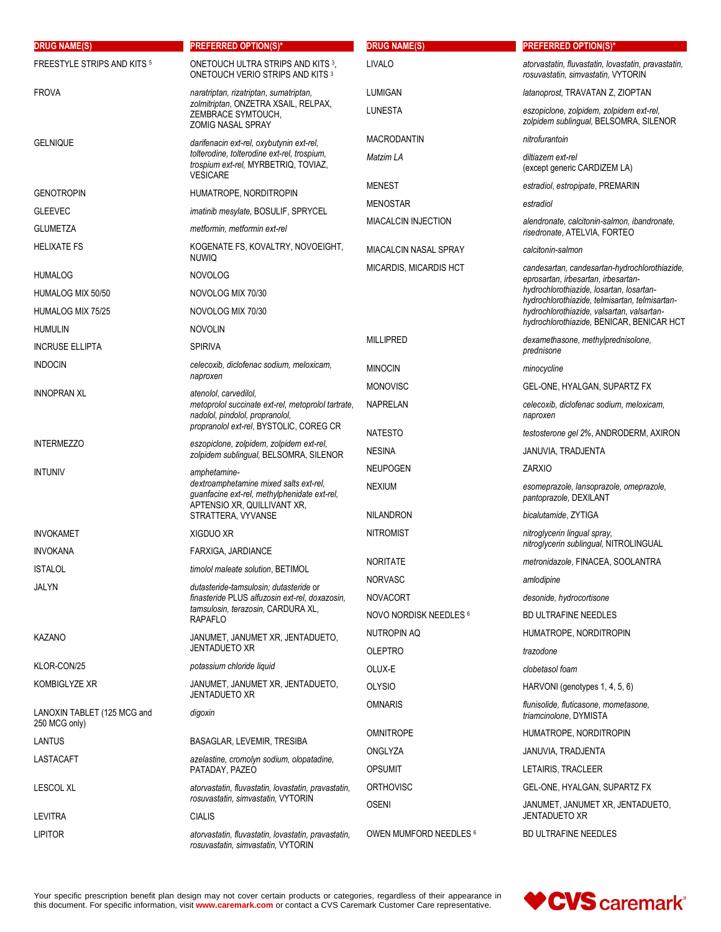| <b>DRUG NAME(S)</b>                          | PREFERRED OPTION(S)*                                                                                                  | <b>DRUG NAME(S)</b>    | <b>PREFERRED OPTION(S)*</b>                                                                  |
|----------------------------------------------|-----------------------------------------------------------------------------------------------------------------------|------------------------|----------------------------------------------------------------------------------------------|
| <b>FREESTYLE STRIPS AND KITS 5</b>           | ONETOUCH ULTRA STRIPS AND KITS <sup>3</sup> ,<br>ONETOUCH VERIO STRIPS AND KITS 3                                     | LIVALO                 | atorvastatin, fluvastatin, lovastatin, pravastatin,<br>rosuvastatin, simvastatin, VYTORIN    |
| <b>FROVA</b>                                 | naratriptan, rizatriptan, sumatriptan,                                                                                | LUMIGAN                | latanoprost, TRAVATAN Z, ZIOPTAN                                                             |
|                                              | zolmitriptan, ONZETRA XSAIL, RELPAX,<br>ZEMBRACE SYMTOUCH,<br><b>ZOMIG NASAL SPRAY</b>                                | <b>LUNESTA</b>         | eszopiclone, zolpidem, zolpidem ext-rel,<br>zolpidem sublingual, BELSOMRA, SILENOR           |
| <b>GELNIQUE</b>                              | darifenacin ext-rel, oxybutynin ext-rel,                                                                              | <b>MACRODANTIN</b>     | nitrofurantoin                                                                               |
|                                              | tolterodine, tolterodine ext-rel, trospium,<br>trospium ext-rel, MYRBETRIQ, TOVIAZ,<br><b>VESICARE</b>                | Matzim LA              | diltiazem ext-rel<br>(except generic CARDIZEM LA)                                            |
| <b>GENOTROPIN</b>                            | HUMATROPE, NORDITROPIN                                                                                                | <b>MENEST</b>          | estradiol, estropipate, PREMARIN                                                             |
| <b>GLEEVEC</b>                               | <i>imatinib mesylate, BOSULIF, SPRYCEL</i>                                                                            | <b>MENOSTAR</b>        | estradiol                                                                                    |
| <b>GLUMETZA</b>                              | metformin, metformin ext-rel                                                                                          | MIACALCIN INJECTION    | alendronate, calcitonin-salmon, ibandronate,<br>risedronate, ATELVIA, FORTEO                 |
| <b>HELIXATE FS</b>                           | KOGENATE FS, KOVALTRY, NOVOEIGHT,<br><b>NUWIQ</b>                                                                     | MIACALCIN NASAL SPRAY  | calcitonin-salmon                                                                            |
| <b>HUMALOG</b>                               | <b>NOVOLOG</b>                                                                                                        | MICARDIS, MICARDIS HCT | candesartan, candesartan-hydrochlorothiazide,<br>eprosartan, irbesartan, irbesartan-         |
| HUMALOG MIX 50/50                            | NOVOLOG MIX 70/30                                                                                                     |                        | hydrochlorothiazide, losartan, losartan-                                                     |
| HUMALOG MIX 75/25                            | NOVOLOG MIX 70/30                                                                                                     |                        | hydrochlorothiazide, telmisartan, telmisartan-<br>hydrochlorothiazide, valsartan, valsartan- |
| <b>HUMULIN</b>                               | <b>NOVOLIN</b>                                                                                                        |                        | hydrochlorothiazide, BENICAR, BENICAR HCT                                                    |
| <b>INCRUSE ELLIPTA</b>                       | <b>SPIRIVA</b>                                                                                                        | <b>MILLIPRED</b>       | dexamethasone, methylprednisolone,<br>prednisone                                             |
| <b>INDOCIN</b>                               | celecoxib, diclofenac sodium, meloxicam,<br>naproxen                                                                  | <b>MINOCIN</b>         | minocycline                                                                                  |
| <b>INNOPRAN XL</b>                           | atenolol, carvedilol,                                                                                                 | <b>MONOVISC</b>        | GEL-ONE, HYALGAN, SUPARTZ FX                                                                 |
|                                              | metoprolol succinate ext-rel, metoprolol tartrate,<br>nadolol, pindolol, propranolol,                                 | <b>NAPRELAN</b>        | celecoxib, diclofenac sodium, meloxicam,<br>naproxen                                         |
|                                              | propranolol ext-rel, BYSTOLIC, COREG CR                                                                               | <b>NATESTO</b>         | testosterone gel 2%, ANDRODERM, AXIRON                                                       |
| <b>INTERMEZZO</b>                            | eszopiclone, zolpidem, zolpidem ext-rel,<br>zolpidem sublingual, BELSOMRA, SILENOR                                    | <b>NESINA</b>          | JANUVIA, TRADJENTA                                                                           |
| <b>INTUNIV</b>                               | amphetamine-                                                                                                          | <b>NEUPOGEN</b>        | <b>ZARXIO</b>                                                                                |
|                                              | dextroamphetamine mixed salts ext-rel,<br>guanfacine ext-rel, methylphenidate ext-rel,<br>APTENSIO XR, QUILLIVANT XR, | <b>NEXIUM</b>          | esomeprazole, lansoprazole, omeprazole,<br>pantoprazole, DEXILANT                            |
|                                              | STRATTERA, VYVANSE                                                                                                    | <b>NILANDRON</b>       | bicalutamide, ZYTIGA                                                                         |
| <b>INVOKAMET</b><br><b>INVOKANA</b>          | XIGDUO XR<br>FARXIGA, JARDIANCE                                                                                       | <b>NITROMIST</b>       | nitroglycerin lingual spray.<br>nitroglycerin sublingual, NITROLINGUAL                       |
| <b>ISTALOL</b>                               | timolol maleate solution, BETIMOL                                                                                     | <b>NORITATE</b>        | metronidazole, FINACEA, SOOLANTRA                                                            |
| JALYN                                        | dutasteride-tamsulosin; dutasteride or                                                                                | <b>NORVASC</b>         | amlodipine                                                                                   |
|                                              | finasteride PLUS alfuzosin ext-rel, doxazosin,                                                                        | <b>NOVACORT</b>        | desonide, hydrocortisone                                                                     |
|                                              | tamsulosin, terazosin, CARDURA XL,<br><b>RAPAFLO</b>                                                                  | NOVO NORDISK NEEDLES 6 | <b>BD ULTRAFINE NEEDLES</b>                                                                  |
| KAZANO                                       | JANUMET, JANUMET XR, JENTADUETO,                                                                                      | <b>NUTROPIN AQ</b>     | HUMATROPE, NORDITROPIN                                                                       |
|                                              | <b>JENTADUETO XR</b>                                                                                                  | <b>OLEPTRO</b>         | trazodone                                                                                    |
| KLOR-CON/25                                  | potassium chloride liquid                                                                                             | OLUX-E                 | clobetasol foam                                                                              |
| KOMBIGLYZE XR                                | JANUMET, JANUMET XR, JENTADUETO,<br><b>JENTADUETO XR</b>                                                              | <b>OLYSIO</b>          | HARVONI (genotypes 1, 4, 5, 6)                                                               |
| LANOXIN TABLET (125 MCG and<br>250 MCG only) | digoxin                                                                                                               | <b>OMNARIS</b>         | flunisolide, fluticasone, mometasone,<br>triamcinolone, DYMISTA                              |
| <b>LANTUS</b>                                | BASAGLAR, LEVEMIR, TRESIBA                                                                                            | <b>OMNITROPE</b>       | HUMATROPE, NORDITROPIN                                                                       |
| LASTACAFT                                    | azelastine, cromolyn sodium, olopatadine,                                                                             | ONGLYZA                | JANUVIA, TRADJENTA                                                                           |
|                                              | PATADAY, PAZEO                                                                                                        | <b>OPSUMIT</b>         | LETAIRIS, TRACLEER                                                                           |
| <b>LESCOL XL</b>                             | atorvastatin, fluvastatin, lovastatin, pravastatin,<br>rosuvastatin, simvastatin, VYTORIN                             | <b>ORTHOVISC</b>       | GEL-ONE, HYALGAN, SUPARTZ FX                                                                 |
| <b>LEVITRA</b>                               | <b>CIALIS</b>                                                                                                         | <b>OSENI</b>           | JANUMET, JANUMET XR, JENTADUETO,<br><b>JENTADUETO XR</b>                                     |
| <b>LIPITOR</b>                               | atorvastatin, fluvastatin, lovastatin, pravastatin,<br>rosuvastatin, simvastatin, VYTORIN                             | OWEN MUMFORD NEEDLES 6 | <b>BD ULTRAFINE NEEDLES</b>                                                                  |

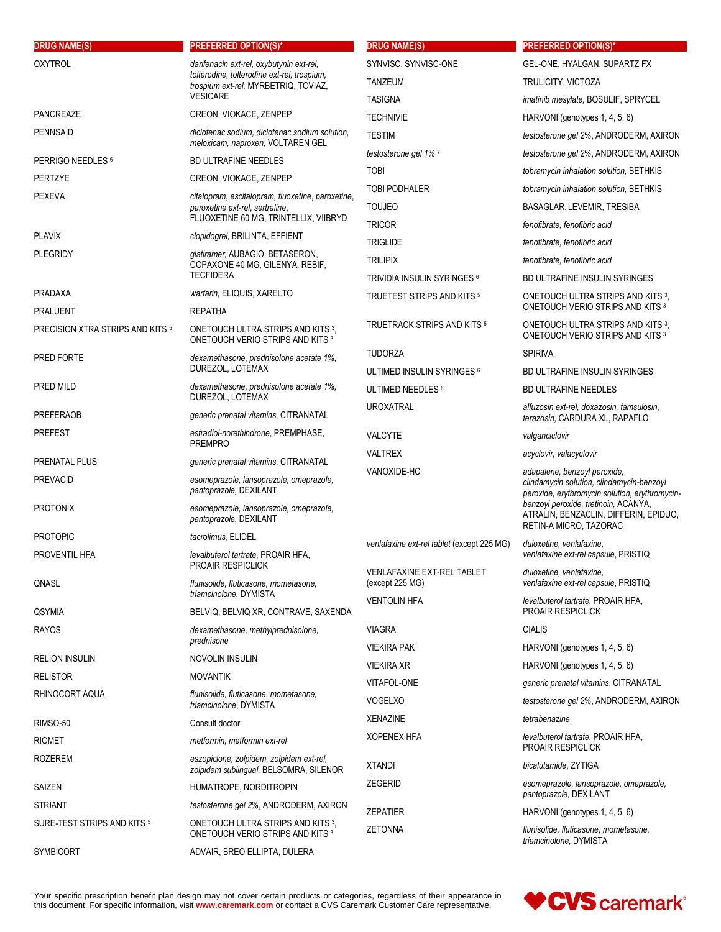| <b>DRUG NAME(S)</b>              | <b>PREFERRED OPTION(S)*</b>                                                                  | <b>DRUG NAME(S)</b>                        | <b>PREFERRED OPTION(S)*</b>                                                                                                 |
|----------------------------------|----------------------------------------------------------------------------------------------|--------------------------------------------|-----------------------------------------------------------------------------------------------------------------------------|
| <b>OXYTROL</b>                   | darifenacin ext-rel, oxybutynin ext-rel,                                                     | SYNVISC, SYNVISC-ONE                       | GEL-ONE, HYALGAN, SUPARTZ FX                                                                                                |
|                                  | tolterodine, tolterodine ext-rel, trospium,<br>trospium ext-rel, MYRBETRIQ, TOVIAZ,          | TANZEUM                                    | TRULICITY, VICTOZA                                                                                                          |
|                                  | <b>VESICARE</b>                                                                              | <b>TASIGNA</b>                             | imatinib mesylate, BOSULIF, SPRYCEL                                                                                         |
| <b>PANCREAZE</b>                 | CREON, VIOKACE, ZENPEP                                                                       | <b>TECHNIVIE</b>                           | HARVONI (genotypes 1, 4, 5, 6)                                                                                              |
| <b>PENNSAID</b>                  | diclofenac sodium, diclofenac sodium solution,<br>meloxicam, naproxen, VOLTAREN GEL          | <b>TESTIM</b>                              | testosterone gel 2%, ANDRODERM, AXIRON                                                                                      |
| PERRIGO NEEDLES 6                | <b>BD ULTRAFINE NEEDLES</b>                                                                  | testosterone gel 1% 7                      | testosterone gel 2%, ANDRODERM, AXIRON                                                                                      |
| <b>PERTZYE</b>                   | CREON, VIOKACE, ZENPEP                                                                       | <b>TOBI</b>                                | tobramycin inhalation solution, BETHKIS                                                                                     |
| <b>PEXEVA</b>                    | citalopram, escitalopram, fluoxetine, paroxetine,                                            | <b>TOBI PODHALER</b>                       | tobramycin inhalation solution, BETHKIS                                                                                     |
|                                  | paroxetine ext-rel, sertraline,                                                              | <b>TOUJEO</b>                              | BASAGLAR, LEVEMIR, TRESIBA                                                                                                  |
|                                  | FLUOXETINE 60 MG, TRINTELLIX, VIIBRYD                                                        | <b>TRICOR</b>                              | fenofibrate, fenofibric acid                                                                                                |
| <b>PLAVIX</b><br><b>PLEGRIDY</b> | clopidogrel, BRILINTA, EFFIENT                                                               | <b>TRIGLIDE</b>                            | fenofibrate, fenofibric acid                                                                                                |
|                                  | glatiramer, AUBAGIO, BETASERON,<br>COPAXONE 40 MG, GILENYA, REBIF,                           | <b>TRILIPIX</b>                            | fenofibrate, fenofibric acid                                                                                                |
|                                  | <b>TECFIDERA</b>                                                                             | TRIVIDIA INSULIN SYRINGES 6                | <b>BD ULTRAFINE INSULIN SYRINGES</b>                                                                                        |
| <b>PRADAXA</b>                   | warfarin, ELIQUIS, XARELTO                                                                   | <b>TRUETEST STRIPS AND KITS 5</b>          | ONETOUCH ULTRA STRIPS AND KITS 3,<br>ONETOUCH VERIO STRIPS AND KITS 3                                                       |
| <b>PRALUENT</b>                  | <b>REPATHA</b>                                                                               | TRUETRACK STRIPS AND KITS 5                | ONETOUCH ULTRA STRIPS AND KITS 3.                                                                                           |
| PRECISION XTRA STRIPS AND KITS 5 | ONETOUCH ULTRA STRIPS AND KITS 3,<br>ONETOUCH VERIO STRIPS AND KITS 3                        |                                            | ONETOUCH VERIO STRIPS AND KITS 3                                                                                            |
| PRED FORTE                       | dexamethasone, prednisolone acetate 1%,                                                      | <b>TUDORZA</b>                             | <b>SPIRIVA</b>                                                                                                              |
|                                  | DUREZOL, LOTEMAX                                                                             | ULTIMED INSULIN SYRINGES 6                 | BD ULTRAFINE INSULIN SYRINGES                                                                                               |
| PRED MILD                        | dexamethasone, prednisolone acetate 1%,<br>DUREZOL, LOTEMAX                                  | ULTIMED NEEDLES 6                          | <b>BD ULTRAFINE NEEDLES</b>                                                                                                 |
| <b>PREFERAOB</b>                 | generic prenatal vitamins, CITRANATAL                                                        | <b>UROXATRAL</b>                           | alfuzosin ext-rel, doxazosin, tamsulosin,<br>terazosin, CARDURA XL, RAPAFLO                                                 |
| PREFEST                          | estradiol-norethindrone, PREMPHASE,<br><b>PREMPRO</b>                                        | <b>VALCYTE</b>                             | valganciclovir                                                                                                              |
| PRENATAL PLUS                    | generic prenatal vitamins, CITRANATAL                                                        | <b>VALTREX</b>                             | acyclovir, valacyclovir                                                                                                     |
| PREVACID                         | esomeprazole, lansoprazole, omeprazole,<br>pantoprazole, DEXILANT                            | VANOXIDE-HC                                | adapalene, benzoyl peroxide,<br>clindamycin solution, clindamycin-benzoyl<br>peroxide, erythromycin solution, erythromycin- |
| PROTONIX                         | esomeprazole, lansoprazole, omeprazole,<br>pantoprazole, DEXILANT                            |                                            | benzoyl peroxide, tretinoin, ACANYA,<br>ATRALIN, BENZACLIN, DIFFERIN, EPIDUO,<br>RETIN-A MICRO, TAZORAC                     |
| <b>PROTOPIC</b>                  | tacrolimus, ELIDEL                                                                           | venlafaxine ext-rel tablet (except 225 MG) | duloxetine, venlafaxine,                                                                                                    |
| PROVENTIL HFA                    | levalbuterol tartrate, PROAIR HFA,<br>PROAIR RESPICLICK                                      | <b>VENLAFAXINE EXT-REL TABLET</b>          | venlafaxine ext-rel capsule, PRISTIQ                                                                                        |
| QNASL                            | flunisolide, fluticasone, mometasone,<br>triamcinolone, DYMISTA                              | (except 225 MG)                            | duloxetine, venlafaxine,<br>venlafaxine ext-rel capsule, PRISTIQ                                                            |
| QSYMIA                           | BELVIQ, BELVIQ XR, CONTRAVE, SAXENDA                                                         | <b>VENTOLIN HFA</b>                        | levalbuterol tartrate, PROAIR HFA,<br><b>PROAIR RESPICLICK</b>                                                              |
| RAYOS                            | dexamethasone, methylprednisolone,                                                           | <b>VIAGRA</b>                              | <b>CIALIS</b>                                                                                                               |
|                                  | prednisone                                                                                   | <b>VIEKIRA PAK</b>                         | HARVONI (genotypes $1, 4, 5, 6$ )                                                                                           |
| <b>RELION INSULIN</b>            | NOVOLIN INSULIN                                                                              | <b>VIEKIRA XR</b>                          | HARVONI (genotypes 1, 4, 5, 6)                                                                                              |
| RELISTOR                         | <b>MOVANTIK</b>                                                                              | VITAFOL-ONE                                | generic prenatal vitamins, CITRANATAL                                                                                       |
| RHINOCORT AQUA                   | flunisolide, fluticasone, mometasone,<br>triamcinolone, DYMISTA                              | <b>VOGELXO</b>                             | testosterone gel 2%, ANDRODERM, AXIRON                                                                                      |
| RIMSO-50                         | Consult doctor                                                                               | <b>XENAZINE</b>                            | tetrabenazine                                                                                                               |
| <b>RIOMET</b>                    | metformin, metformin ext-rel                                                                 | <b>XOPENEX HFA</b>                         | levalbuterol tartrate, PROAIR HFA,                                                                                          |
| ROZEREM                          | eszopiclone, zolpidem, zolpidem ext-rel,                                                     |                                            | <b>PROAIR RESPICLICK</b>                                                                                                    |
|                                  | zolpidem sublingual, BELSOMRA, SILENOR                                                       | <b>XTANDI</b>                              | bicalutamide, ZYTIGA                                                                                                        |
| SAIZEN                           | HUMATROPE, NORDITROPIN                                                                       | <b>ZEGERID</b>                             | esomeprazole, lansoprazole, omeprazole,<br>pantoprazole, DEXILANT                                                           |
| <b>STRIANT</b>                   | testosterone gel 2%, ANDRODERM, AXIRON                                                       | <b>ZEPATIER</b>                            | HARVONI (genotypes 1, 4, 5, 6)                                                                                              |
| SURE-TEST STRIPS AND KITS 5      | ONETOUCH ULTRA STRIPS AND KITS <sup>3</sup> ,<br>ONETOUCH VERIO STRIPS AND KITS <sup>3</sup> | <b>ZETONNA</b>                             | flunisolide, fluticasone, mometasone,<br>triamcinolone, DYMISTA                                                             |
| <b>SYMBICORT</b>                 | ADVAIR, BREO ELLIPTA, DULERA                                                                 |                                            |                                                                                                                             |

Your specific prescription benefit plan design may not cover certain products or categories, regardless of their appearance in<br>this document. For specific information, visit **www.caremark.com** or contact a CVS Caremark Cus

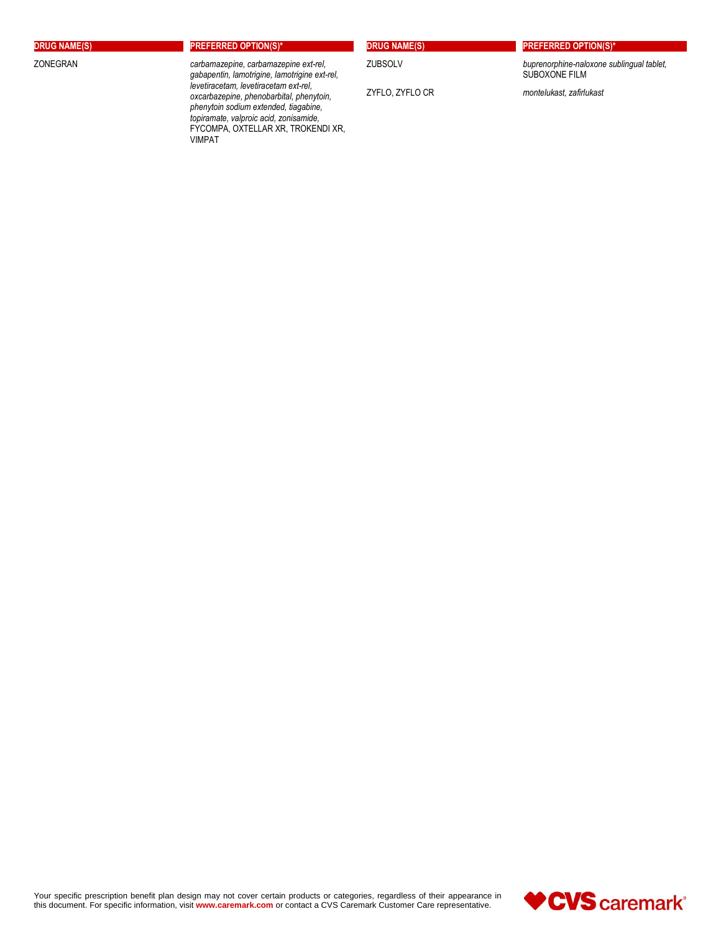**DRUG NAME(S) PREFERRED OPTION(S)\***

ZONEGRAN *carbamazepine, carbamazepine ext-rel, gabapentin, lamotrigine, lamotrigine ext-rel, levetiracetam, levetiracetam ext-rel, oxcarbazepine, phenobarbital, phenytoin, phenytoin sodium extended, tiagabine, topiramate, valproic acid, zonisamide,*  FYCOMPA, OXTELLAR XR, TROKENDI XR, VIMPAT

| <b>RUG NAME(S</b> |
|-------------------|
|-------------------|

**DRUG NAME(S) PREFERRED OPTION(S)\***

ZUBSOLV *buprenorphine-naloxone sublingual tablet,* SUBOXONE FILM

ZYFLO, ZYFLO CR *montelukast, zafirlukast*